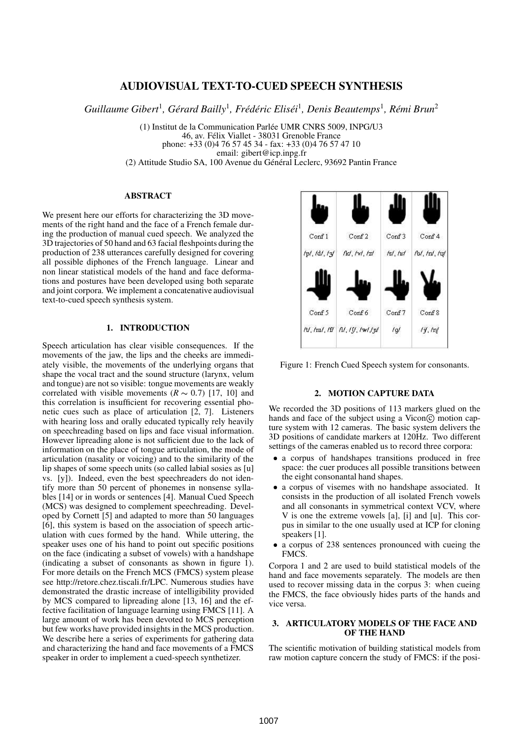# **AUDIOVISUAL TEXT-TO-CUED SPEECH SYNTHESIS**

*Guillaume Gibert<sup>1</sup>, Gérard Bailly<sup>1</sup>, Frédéric Eliséi<sup>1</sup>, Denis Beautemps<sup>1</sup>, Rémi Brun<sup>2</sup>* 

(1) Institut de la Communication Parlee´ UMR CNRS 5009, INPG/U3 46, av. Félix Viallet - 38031 Grenoble France phone: +33 (0)4 76 57 45 34 - fax: +33 (0)4 76 57 47 10 email: gibert@icp.inpg.fr (2) Attitude Studio SA, 100 Avenue du Général Leclerc, 93692 Pantin France

### **ABSTRACT**

We present here our efforts for characterizing the 3D movements of the right hand and the face of a French female during the production of manual cued speech. We analyzed the 3D trajectories of 50 hand and 63 facial fleshpoints during the production of 238 utterances carefully designed for covering all possible diphones of the French language. Linear and non linear statistical models of the hand and face deformations and postures have been developed using both separate and joint corpora. We implement a concatenative audiovisual text-to-cued speech synthesis system.

### **1. INTRODUCTION**

Speech articulation has clear visible consequences. If the movements of the jaw, the lips and the cheeks are immediately visible, the movements of the underlying organs that shape the vocal tract and the sound structure (larynx, velum and tongue) are not so visible: tongue movements are weakly correlated with visible movements  $(R \sim 0.7)$  [17, 10] and this correlation is insufficient for recovering essential phonetic cues such as place of articulation [2, 7]. Listeners with hearing loss and orally educated typically rely heavily on speechreading based on lips and face visual information. However lipreading alone is not sufficient due to the lack of information on the place of tongue articulation, the mode of articulation (nasality or voicing) and to the similarity of the lip shapes of some speech units (so called labial sosies as [u] vs. [y]). Indeed, even the best speechreaders do not identify more than 50 percent of phonemes in nonsense syllables [14] or in words or sentences [4]. Manual Cued Speech (MCS) was designed to complement speechreading. Developed by Cornett [5] and adapted to more than 50 languages [6], this system is based on the association of speech articulation with cues formed by the hand. While uttering, the speaker uses one of his hand to point out specific positions on the face (indicating a subset of vowels) with a handshape (indicating a subset of consonants as shown in figure 1). For more details on the French MCS (FMCS) system please see http://retore.chez.tiscali.fr/LPC. Numerous studies have demonstrated the drastic increase of intelligibility provided by MCS compared to lipreading alone [13, 16] and the effective facilitation of language learning using FMCS [11]. A large amount of work has been devoted to MCS perception but few works have provided insights in the MCS production. We describe here a series of experiments for gathering data and characterizing the hand and face movements of a FMCS speaker in order to implement a cued-speech synthetizer.



Figure 1: French Cued Speech system for consonants.

### **2. MOTION CAPTURE DATA**

We recorded the 3D positions of 113 markers glued on the hands and face of the subject using a Vicon© motion capture system with 12 cameras. The basic system delivers the 3D positions of candidate markers at 120Hz. Two different settings of the cameras enabled us to record three corpora:

- a corpus of handshapes transitions produced in free space: the cuer produces all possible transitions between the eight consonantal hand shapes.
- a corpus of visemes with no handshape associated. It consists in the production of all isolated French vowels and all consonants in symmetrical context VCV, where V is one the extreme vowels [a], [i] and [u]. This corpus in similar to the one usually used at ICP for cloning speakers [1].
- a corpus of 238 sentences pronounced with cueing the FMCS.

Corpora 1 and 2 are used to build statistical models of the hand and face movements separately. The models are then used to recover missing data in the corpus 3: when cueing the FMCS, the face obviously hides parts of the hands and vice versa.

## **3. ARTICULATORY MODELS OF THE FACE AND OF THE HAND**

The scientific motivation of building statistical models from raw motion capture concern the study of FMCS: if the posi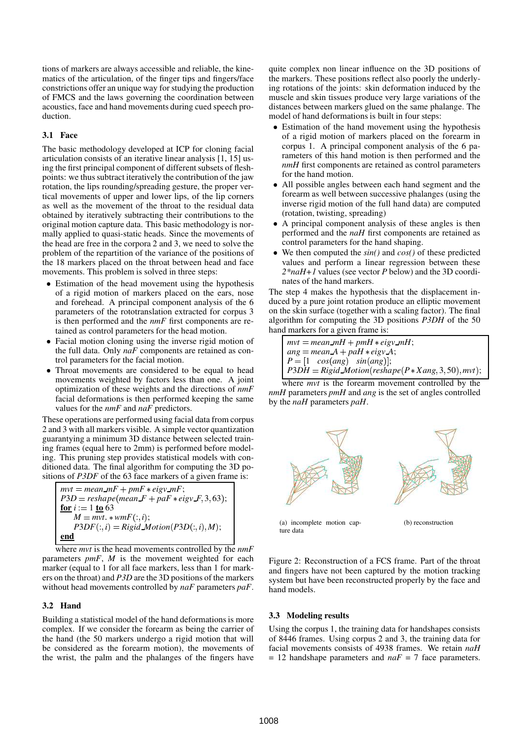tions of markers are always accessible and reliable, the kinematics of the articulation, of the finger tips and fingers/face constrictions offer an unique way for studying the production of FMCS and the laws governing the coordination between acoustics, face and hand movements during cued speech production.

### **3.1 Face**

The basic methodology developed at ICP for cloning facial articulation consists of an iterative linear analysis [1, 15] using the first principal component of different subsets of fleshpoints: we thus subtract iteratively the contribution of the jaw rotation, the lips rounding/spreading gesture, the proper vertical movements of upper and lower lips, of the lip corners as well as the movement of the throat to the residual data obtained by iteratively subtracting their contributions to the original motion capture data. This basic methodology is normally applied to quasi-static heads. Since the movements of the head are free in the corpora 2 and 3, we need to solve the problem of the repartition of the variance of the positions of the 18 markers placed on the throat between head and face movements. This problem is solved in three steps:

- Estimation of the head movement using the hypothesis of a rigid motion of markers placed on the ears, nose and forehead. A principal component analysis of the 6 parameters of the rototranslation extracted for corpus 3 is then performed and the *nmF* first components are retained as control parameters for the head motion.
- Facial motion cloning using the inverse rigid motion of the full data. Only *naF* components are retained as control parameters for the facial motion.
- Throat movements are considered to be equal to head movements weighted by factors less than one. A joint optimization of these weights and the directions of *nmF* facial deformations is then performed keeping the same values for the *nmF* and *naF* predictors.

These operations are performed using facial data from corpus 2 and 3 with all markers visible. A simple vector quantization guarantying a minimum 3D distance between selected training frames (equal here to 2mm) is performed before modeling. This pruning step provides statistical models with conditioned data. The final algorithm for computing the 3D positions of *P3DF* of the 63 face markers of a given frame is:

$$
mvt = mean\_mF + pmF * eigv\_mF;
$$
  
\n
$$
P3D = reshape(mean.F + par * eigv.F, 3, 63);
$$
  
\nfor i := 1 to 63  
\n
$$
M = mvt * wmF(:, i);
$$
  
\n
$$
P3DF(:, i) = Rigid\_Motion(P3D(:, i), M);
$$
  
\nend

where *mvt* is the head movements controlled by the *nmF* parameters *pmF*, *M* is the movement weighted for each marker (equal to 1 for all face markers, less than 1 for markers on the throat) and *P3D* are the 3D positions of the markers without head movements controlled by *naF* parameters *paF*.

#### **3.2 Hand**

Building a statistical model of the hand deformations is more complex. If we consider the forearm as being the carrier of the hand (the 50 markers undergo a rigid motion that will be considered as the forearm motion), the movements of the wrist, the palm and the phalanges of the fingers have

quite complex non linear influence on the 3D positions of the markers. These positions reflect also poorly the underlying rotations of the joints: skin deformation induced by the muscle and skin tissues produce very large variations of the distances between markers glued on the same phalange. The model of hand deformations is built in four steps:

- Estimation of the hand movement using the hypothesis of a rigid motion of markers placed on the forearm in corpus 1. A principal component analysis of the 6 parameters of this hand motion is then performed and the *nmH* first components are retained as control parameters for the hand motion.
- All possible angles between each hand segment and the forearm as well between successive phalanges (using the inverse rigid motion of the full hand data) are computed (rotation, twisting, spreading)
- A principal component analysis of these angles is then performed and the *naH* first components are retained as control parameters for the hand shaping.
- We then computed the *sin()* and *cos()* of these predicted values and perform a linear regression between these *2\*naH+1* values (see vector *P* below) and the 3D coordinates of the hand markers.

The step 4 makes the hypothesis that the displacement induced by a pure joint rotation produce an elliptic movement on the skin surface (together with a scaling factor). The final algorithm for computing the 3D positions *P3DH* of the 50 hand markers for a given frame is:

| $mvt = mean\_mH + pmH * eigv\_mH$ ;                           |  |
|---------------------------------------------------------------|--|
| $ang = mean A + p a H \cdot eigy A;$                          |  |
| $P = \begin{bmatrix} 1 & cos(ang) & sin(ang) \end{bmatrix}$ ; |  |
| $P3DH = Rigid Motion (reshape (P * Xang, 3, 50), mvt);$       |  |

where *mvt* is the forearm movement controlled by the *nmH* parameters *pmH* and *ang* is the set of angles controlled by the *naH* parameters *paH*.



(a) incomplete motion capture data

(b) reconstruction

Figure 2: Reconstruction of a FCS frame. Part of the throat and fingers have not been captured by the motion tracking system but have been reconstructed properly by the face and hand models.

#### **3.3 Modeling results**

Using the corpus 1, the training data for handshapes consists of 8446 frames. Using corpus 2 and 3, the training data for facial movements consists of 4938 frames. We retain *naH* = 12 handshape parameters and *naF* = 7 face parameters.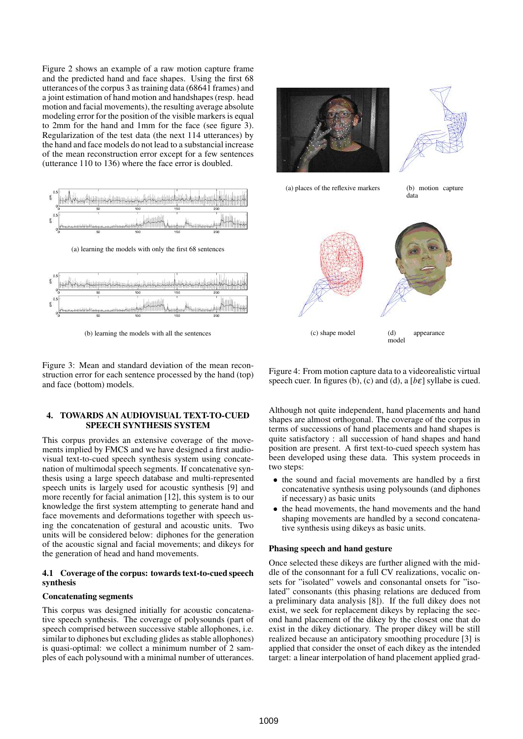Figure 2 shows an example of a raw motion capture frame and the predicted hand and face shapes. Using the first 68 utterances of the corpus 3 as training data (68641 frames) and a joint estimation of hand motion and handshapes(resp. head motion and facial movements), the resulting average absolute modeling error for the position of the visible markers is equal to 2mm for the hand and 1mm for the face (see figure 3). Regularization of the test data (the next 114 utterances) by the hand and face models do not lead to a substancial increase of the mean reconstruction error except for a few sentences (utterance 110 to 136) where the face error is doubled.



(b) learning the models with all the sentences

Figure 3: Mean and standard deviation of the mean reconstruction error for each sentence processed by the hand (top) and face (bottom) models.

### **4. TOWARDS AN AUDIOVISUAL TEXT-TO-CUED SPEECH SYNTHESIS SYSTEM**

This corpus provides an extensive coverage of the movements implied by FMCS and we have designed a first audiovisual text-to-cued speech synthesis system using concatenation of multimodal speech segments. If concatenative synthesis using a large speech database and multi-represented speech units is largely used for acoustic synthesis [9] and more recently for facial animation [12], this system is to our knowledge the first system attempting to generate hand and face movements and deformations together with speech using the concatenation of gestural and acoustic units. Two units will be considered below: diphones for the generation of the acoustic signal and facial movements; and dikeys for the generation of head and hand movements.

### **4.1 Coverage of the corpus: towards text-to-cued speech synthesis**

### **Concatenating segments**

This corpus was designed initially for acoustic concatenative speech synthesis. The coverage of polysounds (part of speech comprised between successive stable allophones, i.e. similar to diphones but excluding glides as stable allophones) is quasi-optimal: we collect a minimum number of 2 samples of each polysound with a minimal number of utterances.



Figure 4: From motion capture data to a videorealistic virtual speech cuer. In figures (b), (c) and (d), a  $[b \varepsilon]$  syllabe is cued.

Although not quite independent, hand placements and hand shapes are almost orthogonal. The coverage of the corpus in terms of successions of hand placements and hand shapes is quite satisfactory : all succession of hand shapes and hand position are present. A first text-to-cued speech system has been developed using these data. This system proceeds in two steps:

- the sound and facial movements are handled by a first concatenative synthesis using polysounds (and diphones if necessary) as basic units
- the head movements, the hand movements and the hand shaping movements are handled by a second concatenative synthesis using dikeys as basic units.

### **Phasing speech and hand gesture**

Once selected these dikeys are further aligned with the middle of the consonnant for a full CV realizations, vocalic onsets for "isolated" vowels and consonantal onsets for "isolated" consonants (this phasing relations are deduced from a preliminary data analysis [8]). If the full dikey does not exist, we seek for replacement dikeys by replacing the second hand placement of the dikey by the closest one that do exist in the dikey dictionary. The proper dikey will be still realized because an anticipatory smoothing procedure [3] is applied that consider the onset of each dikey as the intended target: a linear interpolation of hand placement applied grad